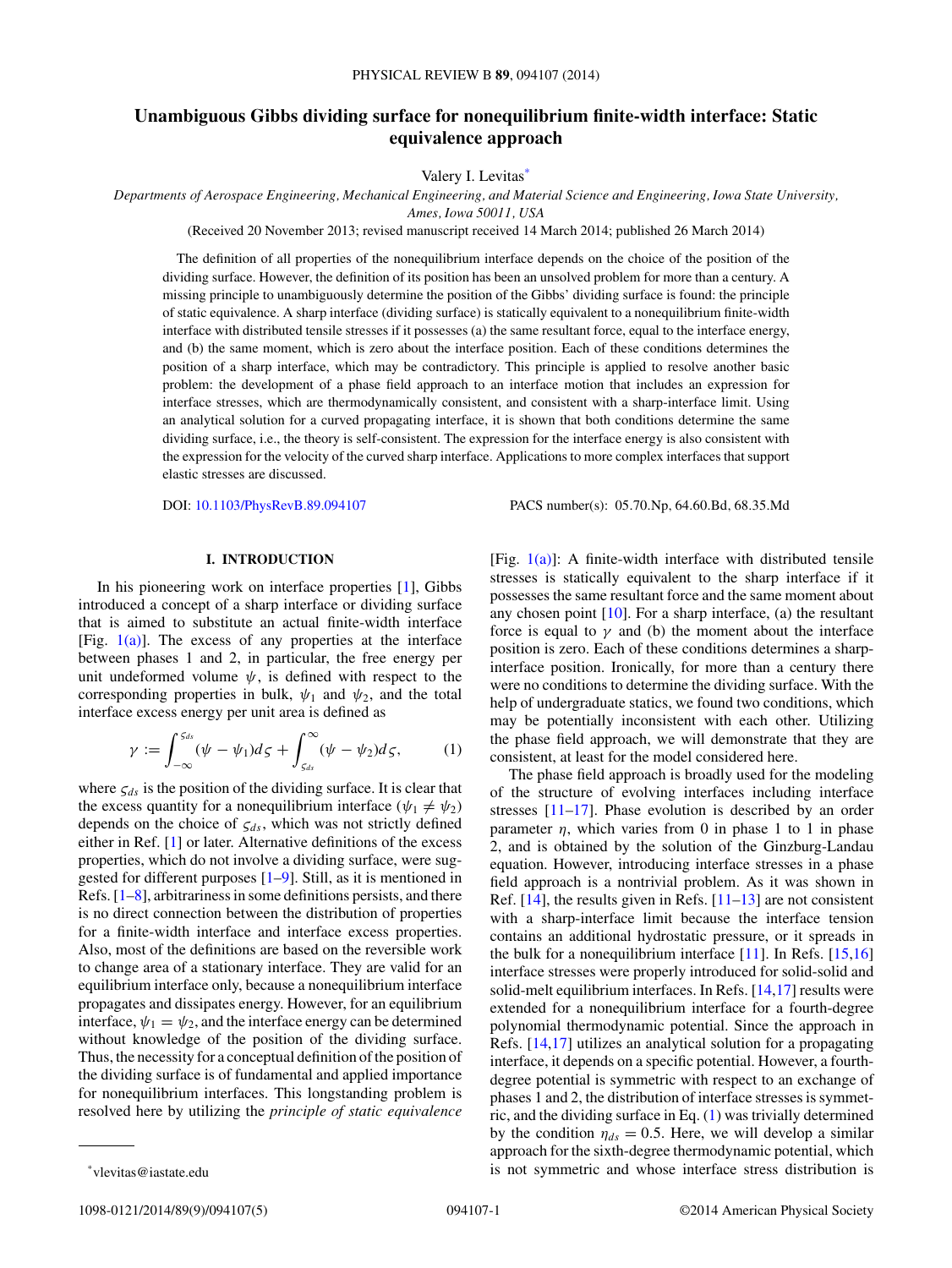# <span id="page-0-0"></span>**Unambiguous Gibbs dividing surface for nonequilibrium finite-width interface: Static equivalence approach**

Valery I. Levitas\*

*Departments of Aerospace Engineering, Mechanical Engineering, and Material Science and Engineering, Iowa State University, Ames, Iowa 50011, USA*

(Received 20 November 2013; revised manuscript received 14 March 2014; published 26 March 2014)

The definition of all properties of the nonequilibrium interface depends on the choice of the position of the dividing surface. However, the definition of its position has been an unsolved problem for more than a century. A missing principle to unambiguously determine the position of the Gibbs' dividing surface is found: the principle of static equivalence. A sharp interface (dividing surface) is statically equivalent to a nonequilibrium finite-width interface with distributed tensile stresses if it possesses (a) the same resultant force, equal to the interface energy, and (b) the same moment, which is zero about the interface position. Each of these conditions determines the position of a sharp interface, which may be contradictory. This principle is applied to resolve another basic problem: the development of a phase field approach to an interface motion that includes an expression for interface stresses, which are thermodynamically consistent, and consistent with a sharp-interface limit. Using an analytical solution for a curved propagating interface, it is shown that both conditions determine the same dividing surface, i.e., the theory is self-consistent. The expression for the interface energy is also consistent with the expression for the velocity of the curved sharp interface. Applications to more complex interfaces that support elastic stresses are discussed.

DOI: [10.1103/PhysRevB.89.094107](http://dx.doi.org/10.1103/PhysRevB.89.094107) PACS number(s): 05*.*70*.*Np*,* 64*.*60*.*Bd*,* 68*.*35*.*Md

# **I. INTRODUCTION**

In his pioneering work on interface properties [\[1\]](#page-4-0), Gibbs introduced a concept of a sharp interface or dividing surface that is aimed to substitute an actual finite-width interface [Fig.  $1(a)$ ]. The excess of any properties at the interface between phases 1 and 2, in particular, the free energy per unit undeformed volume  $\psi$ , is defined with respect to the corresponding properties in bulk,  $\psi_1$  and  $\psi_2$ , and the total interface excess energy per unit area is defined as

$$
\gamma := \int_{-\infty}^{S_{ds}} (\psi - \psi_1) d\zeta + \int_{S_{ds}}^{\infty} (\psi - \psi_2) d\zeta, \qquad (1)
$$

where  $\zeta_{ds}$  is the position of the dividing surface. It is clear that the excess quantity for a nonequilibrium interface ( $\psi_1 \neq \psi_2$ ) depends on the choice of *ςds*, which was not strictly defined either in Ref. [\[1\]](#page-4-0) or later. Alternative definitions of the excess properties, which do not involve a dividing surface, were suggested for different purposes [\[1–9\]](#page-4-0). Still, as it is mentioned in Refs. [\[1–8\]](#page-4-0), arbitrariness in some definitions persists, and there is no direct connection between the distribution of properties for a finite-width interface and interface excess properties. Also, most of the definitions are based on the reversible work to change area of a stationary interface. They are valid for an equilibrium interface only, because a nonequilibrium interface propagates and dissipates energy. However, for an equilibrium interface,  $\psi_1 = \psi_2$ , and the interface energy can be determined without knowledge of the position of the dividing surface. Thus, the necessity for a conceptual definition of the position of the dividing surface is of fundamental and applied importance for nonequilibrium interfaces. This longstanding problem is resolved here by utilizing the *principle of static equivalence* [Fig.  $1(a)$ ]: A finite-width interface with distributed tensile stresses is statically equivalent to the sharp interface if it possesses the same resultant force and the same moment about any chosen point [\[10\]](#page-4-0). For a sharp interface, (a) the resultant force is equal to  $\gamma$  and (b) the moment about the interface position is zero. Each of these conditions determines a sharpinterface position. Ironically, for more than a century there were no conditions to determine the dividing surface. With the help of undergraduate statics, we found two conditions, which may be potentially inconsistent with each other. Utilizing the phase field approach, we will demonstrate that they are consistent, at least for the model considered here.

The phase field approach is broadly used for the modeling of the structure of evolving interfaces including interface stresses [\[11–17\]](#page-4-0). Phase evolution is described by an order parameter  $\eta$ , which varies from 0 in phase 1 to 1 in phase 2, and is obtained by the solution of the Ginzburg-Landau equation. However, introducing interface stresses in a phase field approach is a nontrivial problem. As it was shown in Ref.  $[14]$ , the results given in Refs.  $[11-13]$  are not consistent with a sharp-interface limit because the interface tension contains an additional hydrostatic pressure, or it spreads in the bulk for a nonequilibrium interface  $[11]$ . In Refs.  $[15,16]$ interface stresses were properly introduced for solid-solid and solid-melt equilibrium interfaces. In Refs. [\[14,17\]](#page-4-0) results were extended for a nonequilibrium interface for a fourth-degree polynomial thermodynamic potential. Since the approach in Refs. [\[14,17\]](#page-4-0) utilizes an analytical solution for a propagating interface, it depends on a specific potential. However, a fourthdegree potential is symmetric with respect to an exchange of phases 1 and 2, the distribution of interface stresses is symmetric, and the dividing surface in Eq. (1) was trivially determined by the condition  $\eta_{ds} = 0.5$ . Here, we will develop a similar approach for the sixth-degree thermodynamic potential, which is not symmetric and whose interface stress distribution is

1098-0121/2014/89(9)/094107(5) 094107-1 ©2014 American Physical Society

<sup>\*</sup>vlevitas@iastate.edu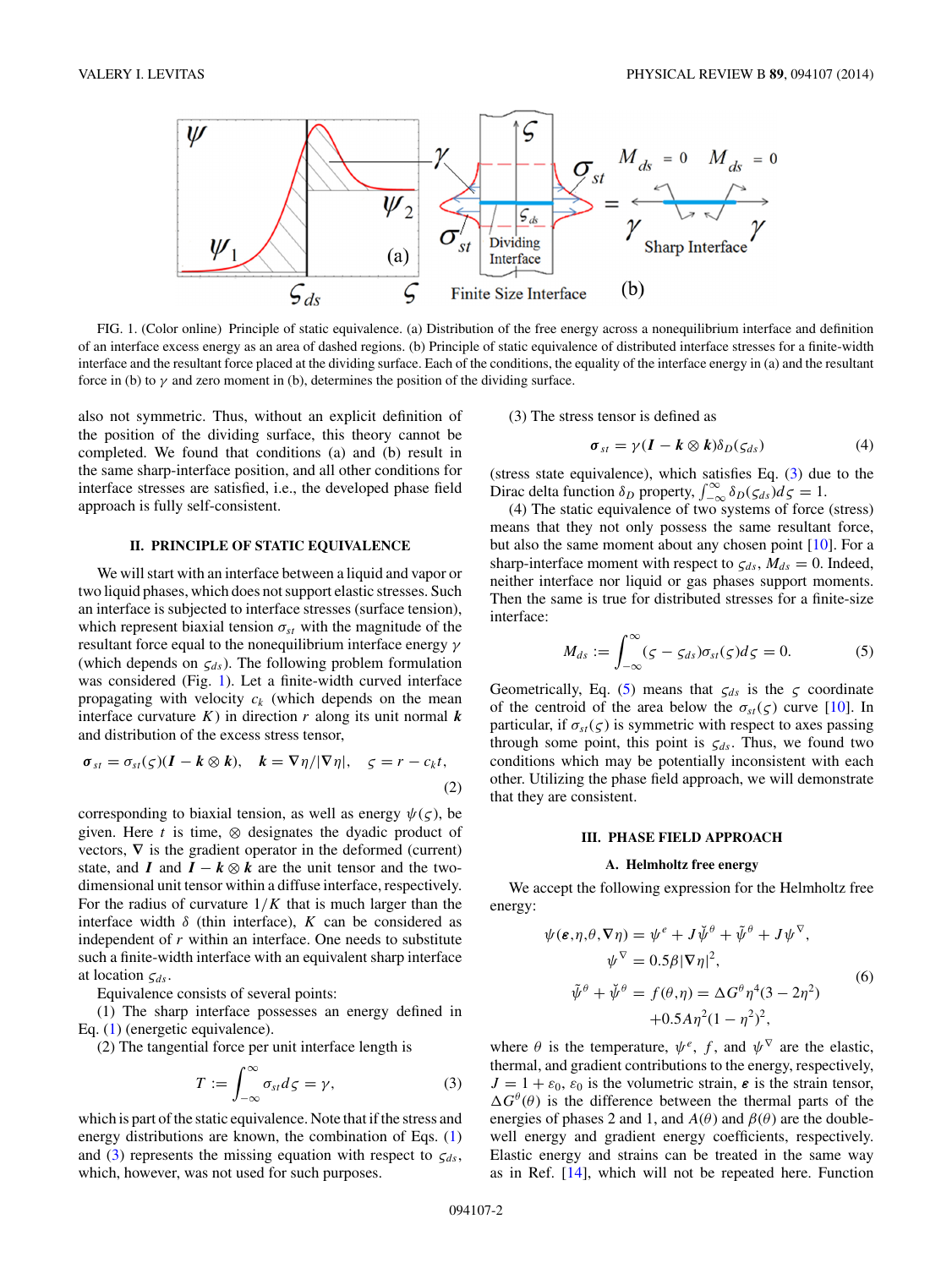<span id="page-1-0"></span>

FIG. 1. (Color online) Principle of static equivalence. (a) Distribution of the free energy across a nonequilibrium interface and definition of an interface excess energy as an area of dashed regions. (b) Principle of static equivalence of distributed interface stresses for a finite-width interface and the resultant force placed at the dividing surface. Each of the conditions, the equality of the interface energy in (a) and the resultant force in (b) to  $\gamma$  and zero moment in (b), determines the position of the dividing surface.

also not symmetric. Thus, without an explicit definition of the position of the dividing surface, this theory cannot be completed. We found that conditions (a) and (b) result in the same sharp-interface position, and all other conditions for interface stresses are satisfied, i.e., the developed phase field approach is fully self-consistent.

# **II. PRINCIPLE OF STATIC EQUIVALENCE**

We will start with an interface between a liquid and vapor or two liquid phases, which does not support elastic stresses. Such an interface is subjected to interface stresses (surface tension), which represent biaxial tension  $\sigma_{st}$  with the magnitude of the resultant force equal to the nonequilibrium interface energy *γ* (which depends on  $\zeta_{ds}$ ). The following problem formulation was considered (Fig. 1). Let a finite-width curved interface propagating with velocity  $c_k$  (which depends on the mean interface curvature  $K$ ) in direction  $r$  along its unit normal  $k$ and distribution of the excess stress tensor,

$$
\sigma_{st} = \sigma_{st}(\varsigma)(I - k \otimes k), \quad k = \nabla \eta/|\nabla \eta|, \quad \varsigma = r - c_k t,
$$
\n(2)

corresponding to biaxial tension, as well as energy  $\psi(\zeta)$ , be given. Here  $t$  is time,  $\otimes$  designates the dyadic product of vectors,  $\nabla$  is the gradient operator in the deformed (current) state, and *I* and  $I - k \otimes k$  are the unit tensor and the twodimensional unit tensor within a diffuse interface, respectively. For the radius of curvature  $1/K$  that is much larger than the interface width  $\delta$  (thin interface),  $K$  can be considered as independent of *r* within an interface. One needs to substitute such a finite-width interface with an equivalent sharp interface at location *ςds*.

Equivalence consists of several points:

(1) The sharp interface possesses an energy defined in Eq. [\(1\)](#page-0-0) (energetic equivalence).

(2) The tangential force per unit interface length is

$$
T := \int_{-\infty}^{\infty} \sigma_{st} d\zeta = \gamma, \qquad (3)
$$

which is part of the static equivalence. Note that if the stress and energy distributions are known, the combination of Eqs. [\(1\)](#page-0-0) and (3) represents the missing equation with respect to  $\zeta_{ds}$ , which, however, was not used for such purposes.

(3) The stress tensor is defined as

$$
\sigma_{st} = \gamma (I - k \otimes k) \delta_D(\zeta_{ds}) \tag{4}
$$

(stress state equivalence), which satisfies Eq. (3) due to the Dirac delta function  $\delta_D$  property,  $\int_{-\infty}^{\infty} \delta_D(\zeta_{ds}) d\zeta = 1$ .

(4) The static equivalence of two systems of force (stress) means that they not only possess the same resultant force, but also the same moment about any chosen point [\[10\]](#page-4-0). For a sharp-interface moment with respect to  $\zeta_{ds}$ ,  $M_{ds} = 0$ . Indeed, neither interface nor liquid or gas phases support moments. Then the same is true for distributed stresses for a finite-size interface:

$$
M_{ds} := \int_{-\infty}^{\infty} (\zeta - \zeta_{ds}) \sigma_{st}(\zeta) d\zeta = 0.
$$
 (5)

Geometrically, Eq. (5) means that  $\zeta_{ds}$  is the  $\zeta$  coordinate of the centroid of the area below the  $\sigma_{st}(\varsigma)$  curve [\[10\]](#page-4-0). In particular, if  $\sigma_{st}(\varsigma)$  is symmetric with respect to axes passing through some point, this point is  $\zeta_{ds}$ . Thus, we found two conditions which may be potentially inconsistent with each other. Utilizing the phase field approach, we will demonstrate that they are consistent.

## **III. PHASE FIELD APPROACH**

#### **A. Helmholtz free energy**

We accept the following expression for the Helmholtz free energy:

$$
\psi(\varepsilon, \eta, \theta, \nabla \eta) = \psi^e + J \check{\psi}^\theta + \tilde{\psi}^\theta + J \psi^\nabla,
$$
  
\n
$$
\psi^\nabla = 0.5 \beta |\nabla \eta|^2,
$$
  
\n
$$
\tilde{\psi}^\theta + \check{\psi}^\theta = f(\theta, \eta) = \Delta G^\theta \eta^4 (3 - 2\eta^2)
$$
  
\n
$$
+ 0.5 A \eta^2 (1 - \eta^2)^2,
$$
\n(6)

where  $\theta$  is the temperature,  $\psi^e$ ,  $f$ , and  $\psi^{\nabla}$  are the elastic, thermal, and gradient contributions to the energy, respectively,  $J = 1 + \varepsilon_0$ ,  $\varepsilon_0$  is the volumetric strain,  $\varepsilon$  is the strain tensor,  $\Delta G^{\theta}(\theta)$  is the difference between the thermal parts of the energies of phases 2 and 1, and  $A(\theta)$  and  $\beta(\theta)$  are the doublewell energy and gradient energy coefficients, respectively. Elastic energy and strains can be treated in the same way as in Ref. [\[14\]](#page-4-0), which will not be repeated here. Function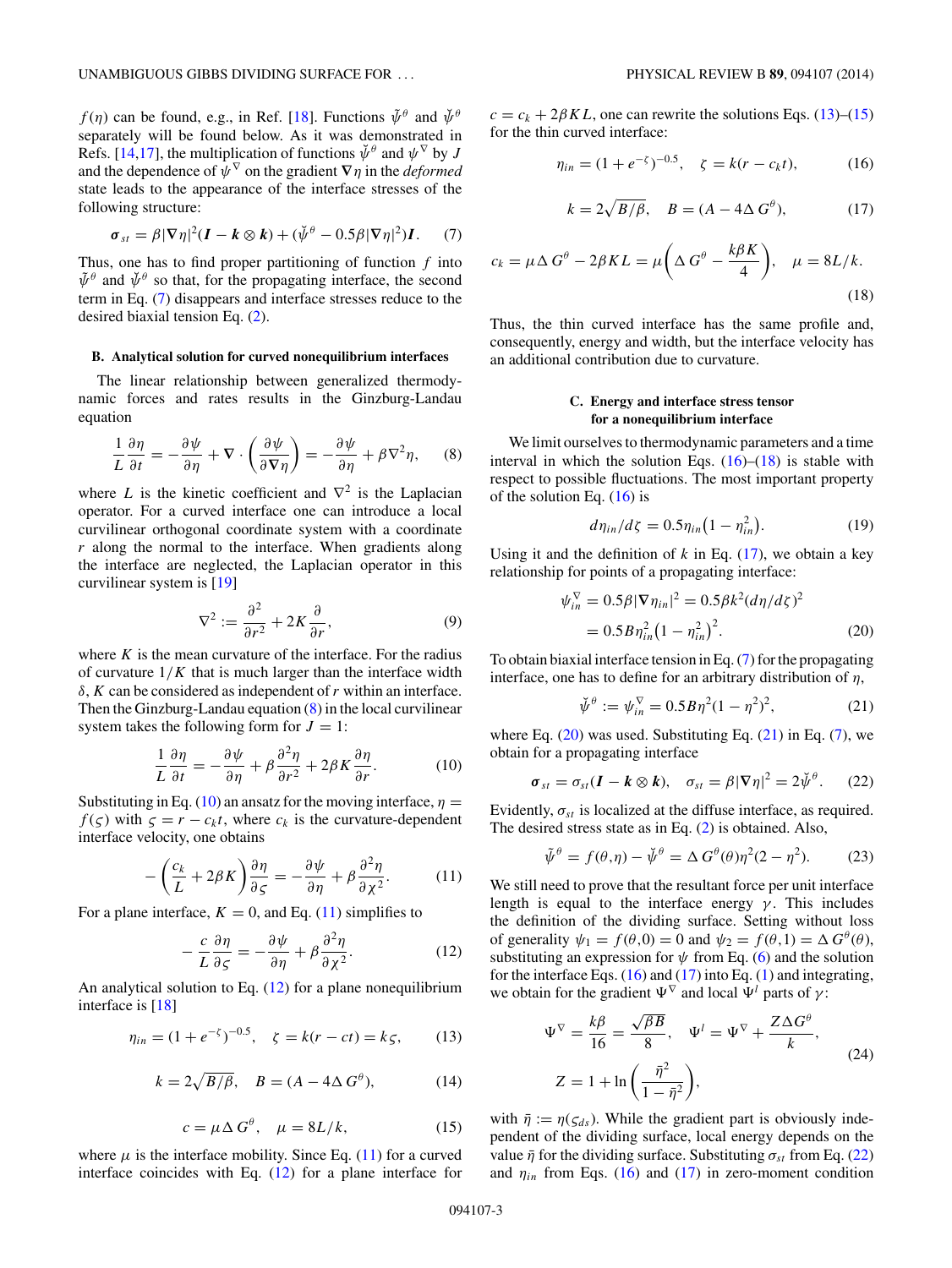<span id="page-2-0"></span>*f* (*η*) can be found, e.g., in Ref. [\[18\]](#page-4-0). Functions  $\tilde{\psi}^{\theta}$  and  $\tilde{\psi}^{\theta}$ separately will be found below. As it was demonstrated in Refs. [\[14,17\]](#page-4-0), the multiplication of functions  $\check{\psi}^{\theta}$  and  $\psi^{\nabla}$  by *J* and the dependence of  $\psi^{\nabla}$  on the gradient  $\nabla \eta$  in the *deformed* state leads to the appearance of the interface stresses of the following structure:

$$
\sigma_{st} = \beta |\nabla \eta|^2 (\boldsymbol{I} - \boldsymbol{k} \otimes \boldsymbol{k}) + (\check{\psi}^{\theta} - 0.5 \beta |\nabla \eta|^2) \boldsymbol{I}. \qquad (7)
$$

Thus, one has to find proper partitioning of function *f* into  $\tilde{\psi}^{\theta}$  and  $\tilde{\psi}^{\theta}$  so that, for the propagating interface, the second term in Eq. (7) disappears and interface stresses reduce to the desired biaxial tension Eq. [\(2\)](#page-1-0).

## **B. Analytical solution for curved nonequilibrium interfaces**

The linear relationship between generalized thermodynamic forces and rates results in the Ginzburg-Landau equation

$$
\frac{1}{L}\frac{\partial \eta}{\partial t} = -\frac{\partial \psi}{\partial \eta} + \nabla \cdot \left(\frac{\partial \psi}{\partial \nabla \eta}\right) = -\frac{\partial \psi}{\partial \eta} + \beta \nabla^2 \eta,\qquad(8)
$$

where *L* is the kinetic coefficient and  $\nabla^2$  is the Laplacian operator. For a curved interface one can introduce a local curvilinear orthogonal coordinate system with a coordinate *r* along the normal to the interface. When gradients along the interface are neglected, the Laplacian operator in this curvilinear system is [\[19\]](#page-4-0)

$$
\nabla^2 := \frac{\partial^2}{\partial r^2} + 2K \frac{\partial}{\partial r},\tag{9}
$$

where  $K$  is the mean curvature of the interface. For the radius of curvature  $1/K$  that is much larger than the interface width *δ*, *K* can be considered as independent of*r* within an interface. Then the Ginzburg-Landau equation  $(8)$  in the local curvilinear system takes the following form for  $J = 1$ :

$$
\frac{1}{L}\frac{\partial \eta}{\partial t} = -\frac{\partial \psi}{\partial \eta} + \beta \frac{\partial^2 \eta}{\partial r^2} + 2\beta K \frac{\partial \eta}{\partial r}.
$$
 (10)

Substituting in Eq. (10) an ansatz for the moving interface,  $\eta$  =  $f(\varsigma)$  with  $\varsigma = r - c_k t$ , where  $c_k$  is the curvature-dependent interface velocity, one obtains

$$
-\left(\frac{c_k}{L} + 2\beta K\right)\frac{\partial \eta}{\partial \varsigma} = -\frac{\partial \psi}{\partial \eta} + \beta \frac{\partial^2 \eta}{\partial \chi^2}.
$$
 (11)

For a plane interface,  $K = 0$ , and Eq. (11) simplifies to

$$
-\frac{c}{L}\frac{\partial \eta}{\partial \varsigma} = -\frac{\partial \psi}{\partial \eta} + \beta \frac{\partial^2 \eta}{\partial \chi^2}.
$$
 (12)

An analytical solution to Eq. (12) for a plane nonequilibrium interface is [\[18\]](#page-4-0)

$$
\eta_{in} = (1 + e^{-\zeta})^{-0.5}, \quad \zeta = k(r - ct) = k\zeta, \tag{13}
$$

$$
k = 2\sqrt{B/\beta}, \quad B = (A - 4\Delta G^{\theta}), \tag{14}
$$

$$
c = \mu \Delta G^{\theta}, \quad \mu = 8L/k, \tag{15}
$$

where  $\mu$  is the interface mobility. Since Eq. (11) for a curved interface coincides with Eq. (12) for a plane interface for  $c = c_k + 2\beta KL$ , one can rewrite the solutions Eqs. (13)–(15) for the thin curved interface:

$$
\eta_{in} = (1 + e^{-\zeta})^{-0.5}, \quad \zeta = k(r - c_k t), \tag{16}
$$

$$
k = 2\sqrt{B/\beta}, \quad B = (A - 4\Delta G^{\theta}), \tag{17}
$$

$$
c_k = \mu \Delta G^{\theta} - 2\beta KL = \mu \left( \Delta G^{\theta} - \frac{k\beta K}{4} \right), \quad \mu = 8L/k.
$$
\n(18)

Thus, the thin curved interface has the same profile and, consequently, energy and width, but the interface velocity has an additional contribution due to curvature.

# **C. Energy and interface stress tensor for a nonequilibrium interface**

We limit ourselves to thermodynamic parameters and a time interval in which the solution Eqs.  $(16)$ – $(18)$  is stable with respect to possible fluctuations. The most important property of the solution Eq.  $(16)$  is

$$
d\eta_{in}/d\zeta = 0.5\eta_{in}(1 - \eta_{in}^2). \tag{19}
$$

Using it and the definition of  $k$  in Eq.  $(17)$ , we obtain a key relationship for points of a propagating interface:

$$
\psi_{in}^{\nabla} = 0.5\beta |\nabla \eta_{in}|^2 = 0.5\beta k^2 (d\eta/d\zeta)^2
$$
  
= 0.5 B  $\eta_{in}^2 \left(1 - \eta_{in}^2\right)^2$ . (20)

To obtain biaxial interface tension in Eq. (7) for the propagating interface, one has to define for an arbitrary distribution of *η*,

$$
\check{\psi}^{\theta} := \psi_{in}^{\nabla} = 0.5B\eta^{2}(1 - \eta^{2})^{2},\tag{21}
$$

where Eq.  $(20)$  was used. Substituting Eq.  $(21)$  in Eq.  $(7)$ , we obtain for a propagating interface

$$
\sigma_{st} = \sigma_{st}(\boldsymbol{I} - \boldsymbol{k} \otimes \boldsymbol{k}), \quad \sigma_{st} = \beta |\nabla \eta|^2 = 2 \check{\psi}^\theta. \qquad (22)
$$

Evidently,  $\sigma_{st}$  is localized at the diffuse interface, as required. The desired stress state as in Eq. [\(2\)](#page-1-0) is obtained. Also,

$$
\tilde{\psi}^{\theta} = f(\theta, \eta) - \check{\psi}^{\theta} = \Delta G^{\theta}(\theta) \eta^{2} (2 - \eta^{2}).
$$
 (23)

We still need to prove that the resultant force per unit interface length is equal to the interface energy  $\gamma$ . This includes the definition of the dividing surface. Setting without loss of generality  $\psi_1 = f(\theta, 0) = 0$  and  $\psi_2 = f(\theta, 1) = \Delta G^{\theta}(\theta)$ , substituting an expression for  $\psi$  from Eq. [\(6\)](#page-1-0) and the solution for the interface Eqs.  $(16)$  and  $(17)$  into Eq.  $(1)$  and integrating, we obtain for the gradient  $\Psi^{\nabla}$  and local  $\Psi^l$  parts of  $\gamma$ :

$$
\Psi^{\nabla} = \frac{k\beta}{16} = \frac{\sqrt{\beta B}}{8}, \quad \Psi^{l} = \Psi^{\nabla} + \frac{Z\Delta G^{\theta}}{k},
$$
  

$$
Z = 1 + \ln\left(\frac{\bar{\eta}^{2}}{1 - \bar{\eta}^{2}}\right),
$$
 (24)

with  $\bar{\eta} := \eta(\zeta_{ds})$ . While the gradient part is obviously independent of the dividing surface, local energy depends on the value  $\bar{\eta}$  for the dividing surface. Substituting  $\sigma_{st}$  from Eq. (22) and  $\eta_{in}$  from Eqs. (16) and (17) in zero-moment condition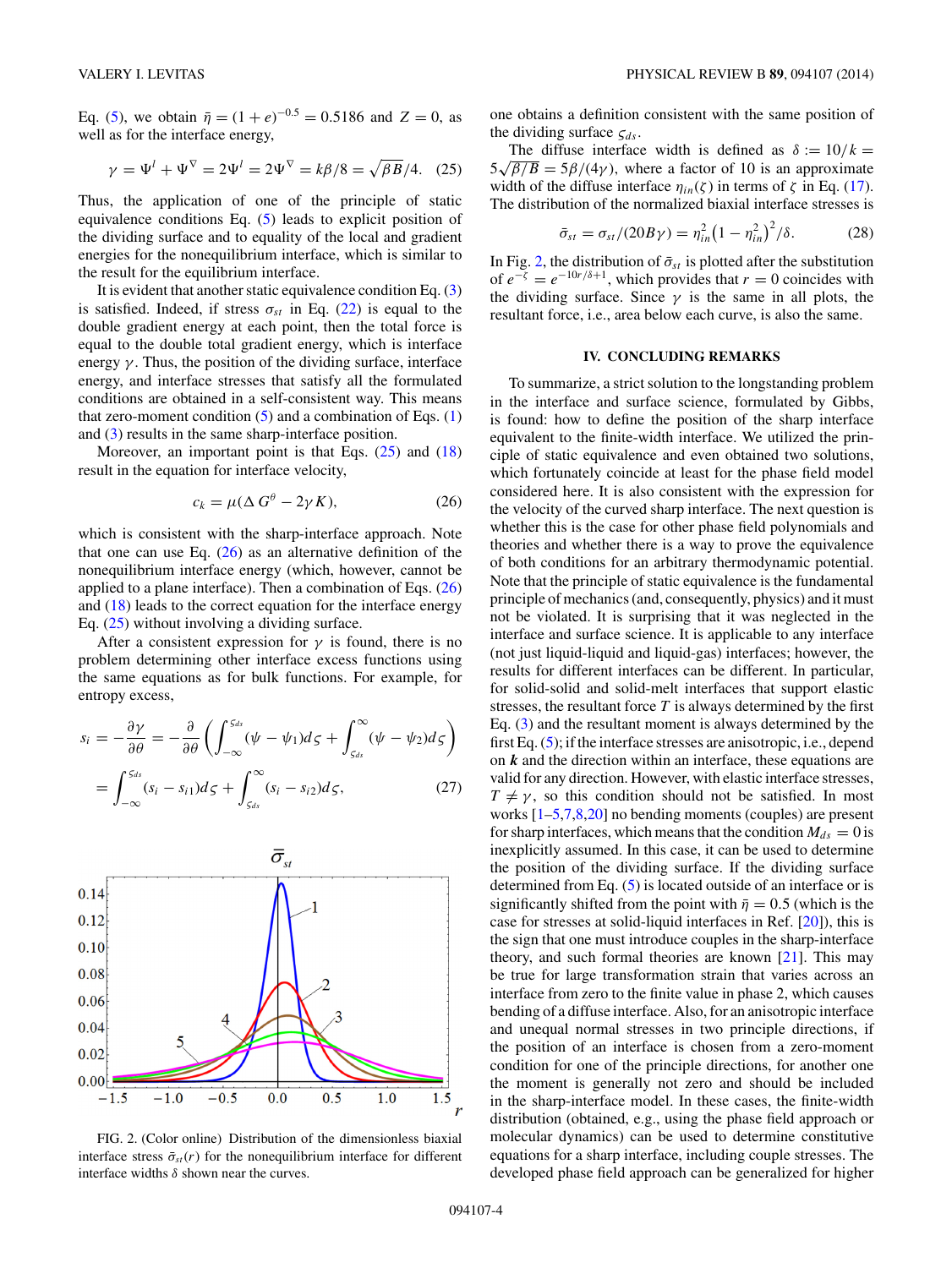Eq. [\(5\)](#page-1-0), we obtain  $\bar{\eta} = (1 + e)^{-0.5} = 0.5186$  and  $Z = 0$ , as well as for the interface energy,

$$
\gamma = \Psi^{l} + \Psi^{\nabla} = 2\Psi^{l} = 2\Psi^{\nabla} = k\beta/8 = \sqrt{\beta B}/4.
$$
 (25)

Thus, the application of one of the principle of static equivalence conditions Eq. [\(5\)](#page-1-0) leads to explicit position of the dividing surface and to equality of the local and gradient energies for the nonequilibrium interface, which is similar to the result for the equilibrium interface.

It is evident that another static equivalence condition Eq. [\(3\)](#page-1-0) is satisfied. Indeed, if stress  $\sigma_{st}$  in Eq. [\(22\)](#page-2-0) is equal to the double gradient energy at each point, then the total force is equal to the double total gradient energy, which is interface energy  $\gamma$ . Thus, the position of the dividing surface, interface energy, and interface stresses that satisfy all the formulated conditions are obtained in a self-consistent way. This means that zero-moment condition  $(5)$  and a combination of Eqs.  $(1)$ and [\(3\)](#page-1-0) results in the same sharp-interface position.

Moreover, an important point is that Eqs.  $(25)$  and  $(18)$ result in the equation for interface velocity,

$$
c_k = \mu(\Delta G^\theta - 2\gamma K),\tag{26}
$$

which is consistent with the sharp-interface approach. Note that one can use Eq.  $(26)$  as an alternative definition of the nonequilibrium interface energy (which, however, cannot be applied to a plane interface). Then a combination of Eqs.  $(26)$ and  $(18)$  leads to the correct equation for the interface energy Eq. (25) without involving a dividing surface.

After a consistent expression for  $\gamma$  is found, there is no problem determining other interface excess functions using the same equations as for bulk functions. For example, for entropy excess,

$$
s_i = -\frac{\partial \gamma}{\partial \theta} = -\frac{\partial}{\partial \theta} \left( \int_{-\infty}^{S_{ds}} (\psi - \psi_1) d\zeta + \int_{S_{ds}}^{\infty} (\psi - \psi_2) d\zeta \right)
$$
  
= 
$$
\int_{-\infty}^{S_{ds}} (s_i - s_{i1}) d\zeta + \int_{S_{ds}}^{\infty} (s_i - s_{i2}) d\zeta,
$$
 (27)



FIG. 2. (Color online) Distribution of the dimensionless biaxial interface stress  $\bar{\sigma}_{st}(r)$  for the nonequilibrium interface for different interface widths *δ* shown near the curves.

one obtains a definition consistent with the same position of the dividing surface  $\zeta_{ds}$ .

The diffuse interface width is defined as  $\delta := 10/k =$  $5\sqrt{\beta/B} = 5\beta/(4\gamma)$ , where a factor of 10 is an approximate width of the diffuse interface  $\eta_{in}(\zeta)$  in terms of  $\zeta$  in Eq. [\(17\)](#page-2-0). The distribution of the normalized biaxial interface stresses is

$$
\bar{\sigma}_{st} = \sigma_{st}/(20B\gamma) = \eta_{in}^2 \left(1 - \eta_{in}^2\right)^2/\delta. \tag{28}
$$

In Fig. 2, the distribution of  $\bar{\sigma}_{st}$  is plotted after the substitution of  $e^{-\zeta} = e^{-10r/\delta + 1}$ , which provides that  $r = 0$  coincides with the dividing surface. Since  $\gamma$  is the same in all plots, the resultant force, i.e., area below each curve, is also the same.

# **IV. CONCLUDING REMARKS**

To summarize, a strict solution to the longstanding problem in the interface and surface science, formulated by Gibbs, is found: how to define the position of the sharp interface equivalent to the finite-width interface. We utilized the principle of static equivalence and even obtained two solutions, which fortunately coincide at least for the phase field model considered here. It is also consistent with the expression for the velocity of the curved sharp interface. The next question is whether this is the case for other phase field polynomials and theories and whether there is a way to prove the equivalence of both conditions for an arbitrary thermodynamic potential. Note that the principle of static equivalence is the fundamental principle of mechanics (and, consequently, physics) and it must not be violated. It is surprising that it was neglected in the interface and surface science. It is applicable to any interface (not just liquid-liquid and liquid-gas) interfaces; however, the results for different interfaces can be different. In particular, for solid-solid and solid-melt interfaces that support elastic stresses, the resultant force *T* is always determined by the first Eq. [\(3\)](#page-1-0) and the resultant moment is always determined by the first Eq. [\(5\)](#page-1-0); if the interface stresses are anisotropic, i.e., depend on *k* and the direction within an interface, these equations are valid for any direction. However, with elastic interface stresses,  $T \neq \gamma$ , so this condition should not be satisfied. In most works [\[1–](#page-4-0)5,7,8[,20\]](#page-4-0) no bending moments (couples) are present for sharp interfaces, which means that the condition  $M_{ds} = 0$  is inexplicitly assumed. In this case, it can be used to determine the position of the dividing surface. If the dividing surface determined from Eq. [\(5\)](#page-1-0) is located outside of an interface or is significantly shifted from the point with  $\bar{\eta} = 0.5$  (which is the case for stresses at solid-liquid interfaces in Ref. [\[20\]](#page-4-0)), this is the sign that one must introduce couples in the sharp-interface theory, and such formal theories are known [\[21\]](#page-4-0). This may be true for large transformation strain that varies across an interface from zero to the finite value in phase 2, which causes bending of a diffuse interface. Also, for an anisotropic interface and unequal normal stresses in two principle directions, if the position of an interface is chosen from a zero-moment condition for one of the principle directions, for another one the moment is generally not zero and should be included in the sharp-interface model. In these cases, the finite-width distribution (obtained, e.g., using the phase field approach or molecular dynamics) can be used to determine constitutive equations for a sharp interface, including couple stresses. The developed phase field approach can be generalized for higher